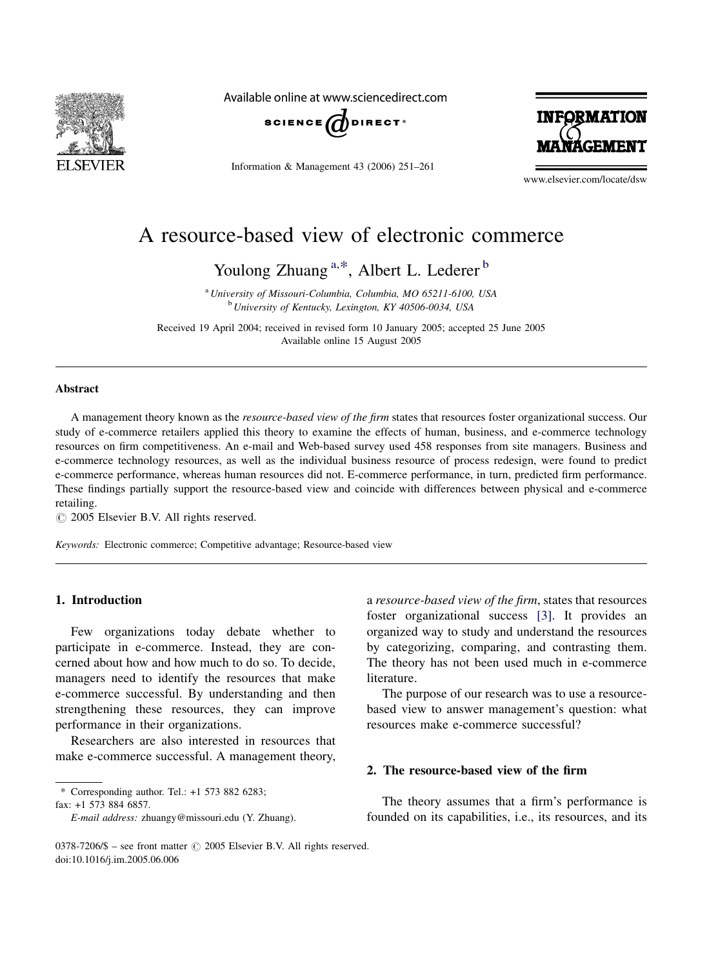

Available online at www.sciencedirect.com



Information & Management 43 (2006) 251–261



www.elsevier.com/locate/dsw

# A resource-based view of electronic commerce

Youlong Zhuang<sup>a,\*</sup>, Albert L. Lederer<sup>b</sup>

<sup>a</sup> University of Missouri-Columbia, Columbia, MO 65211-6100, USA <sup>b</sup> University of Kentucky, Lexington, KY 40506-0034, USA

Received 19 April 2004; received in revised form 10 January 2005; accepted 25 June 2005 Available online 15 August 2005

#### **Abstract**

A management theory known as the resource-based view of the firm states that resources foster organizational success. Our study of e-commerce retailers applied this theory to examine the effects of human, business, and e-commerce technology resources on firm competitiveness. An e-mail and Web-based survey used 458 responses from site managers. Business and e-commerce technology resources, as well as the individual business resource of process redesign, were found to predict e-commerce performance, whereas human resources did not. E-commerce performance, in turn, predicted firm performance. These findings partially support the resource-based view and coincide with differences between physical and e-commerce retailing.

 $\odot$  2005 Elsevier B.V. All rights reserved.

Keywords: Electronic commerce; Competitive advantage; Resource-based view

#### 1. Introduction

Few organizations today debate whether to participate in e-commerce. Instead, they are concerned about how and how much to do so. To decide, managers need to identify the resources that make e-commerce successful. By understanding and then strengthening these resources, they can improve performance in their organizations.

Researchers are also interested in resources that make e-commerce successful. A management theory,

\* Corresponding author. Tel.: +1 573 882 6283;

fax: +1 573 884 6857.

a resource-based view of the firm, states that resources foster organizational success [\[3\].](#page--1-0) It provides an organized way to study and understand the resources by categorizing, comparing, and contrasting them. The theory has not been used much in e-commerce literature.

The purpose of our research was to use a resourcebased view to answer management's question: what resources make e-commerce successful?

### 2. The resource-based view of the firm

The theory assumes that a firm's performance is founded on its capabilities, i.e., its resources, and its

E-mail address: zhuangy@missouri.edu (Y. Zhuang).

<sup>0378-7206/\$ -</sup> see front matter © 2005 Elsevier B.V. All rights reserved. doi:10.1016/j.im.2005.06.006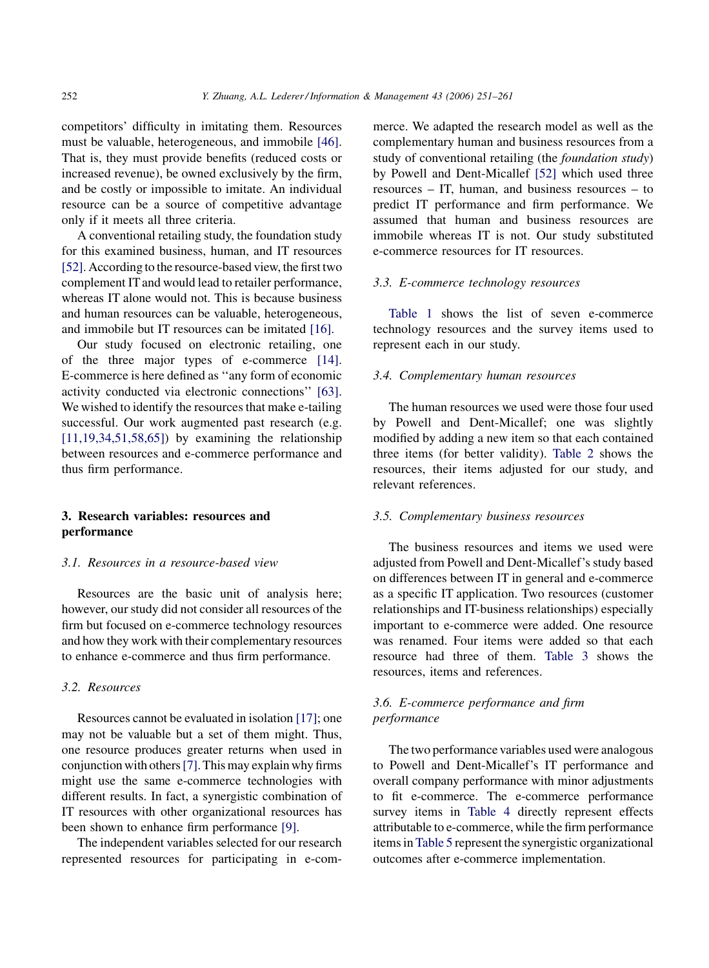competitors' difficulty in imitating them. Resources must be valuable, heterogeneous, and immobile [\[46\]](#page--1-0). That is, they must provide benefits (reduced costs or increased revenue), be owned exclusively by the firm, and be costly or impossible to imitate. An individual resource can be a source of competitive advantage only if it meets all three criteria.

A conventional retailing study, the foundation study for this examined business, human, and IT resources [\[52\].](#page--1-0) According to the resource-based view, the first two complement IT and would lead to retailer performance, whereas IT alone would not. This is because business and human resources can be valuable, heterogeneous, and immobile but IT resources can be imitated [\[16\]](#page--1-0).

Our study focused on electronic retailing, one of the three major types of e-commerce [\[14\]](#page--1-0). E-commerce is here defined as ''any form of economic activity conducted via electronic connections'' [\[63\]](#page--1-0). We wished to identify the resources that make e-tailing successful. Our work augmented past research (e.g.  $[11,19,34,51,58,65]$ ) by examining the relationship between resources and e-commerce performance and thus firm performance.

# 3. Research variables: resources and performance

#### 3.1. Resources in a resource-based view

Resources are the basic unit of analysis here; however, our study did not consider all resources of the firm but focused on e-commerce technology resources and how they work with their complementary resources to enhance e-commerce and thus firm performance.

#### 3.2. Resources

Resources cannot be evaluated in isolation [\[17\]](#page--1-0); one may not be valuable but a set of them might. Thus, one resource produces greater returns when used in conjunction with others[\[7\].](#page--1-0) This may explain why firms might use the same e-commerce technologies with different results. In fact, a synergistic combination of IT resources with other organizational resources has been shown to enhance firm performance [\[9\].](#page--1-0)

The independent variables selected for our research represented resources for participating in e-commerce. We adapted the research model as well as the complementary human and business resources from a study of conventional retailing (the foundation study) by Powell and Dent-Micallef [\[52\]](#page--1-0) which used three resources – IT, human, and business resources – to predict IT performance and firm performance. We assumed that human and business resources are immobile whereas IT is not. Our study substituted e-commerce resources for IT resources.

#### 3.3. E-commerce technology resources

[Table 1](#page--1-0) shows the list of seven e-commerce technology resources and the survey items used to represent each in our study.

## 3.4. Complementary human resources

The human resources we used were those four used by Powell and Dent-Micallef; one was slightly modified by adding a new item so that each contained three items (for better validity). [Table 2](#page--1-0) shows the resources, their items adjusted for our study, and relevant references.

#### 3.5. Complementary business resources

The business resources and items we used were adjusted from Powell and Dent-Micallef's study based on differences between IT in general and e-commerce as a specific IT application. Two resources (customer relationships and IT-business relationships) especially important to e-commerce were added. One resource was renamed. Four items were added so that each resource had three of them. [Table 3](#page--1-0) shows the resources, items and references.

# 3.6. E-commerce performance and firm performance

The two performance variables used were analogous to Powell and Dent-Micallef's IT performance and overall company performance with minor adjustments to fit e-commerce. The e-commerce performance survey items in [Table 4](#page--1-0) directly represent effects attributable to e-commerce, while the firm performance items in [Table 5](#page--1-0) represent the synergistic organizational outcomes after e-commerce implementation.